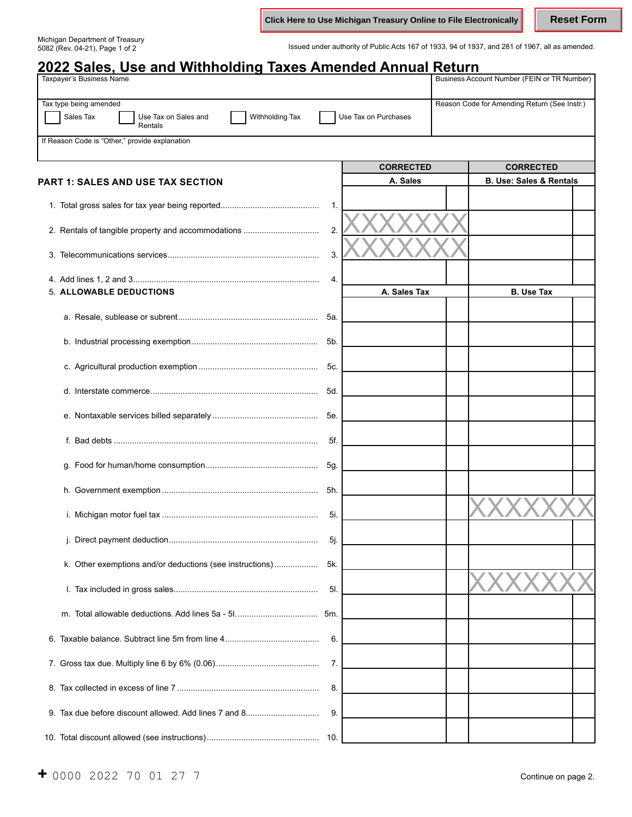**Click Here to Use Michigan Treasury Online to File Electronically Reset Form** 

Michigan Department of Treasury

Issued under authority of Public Acts 167 of 1933, 94 of 1937, and 281 of 1967, all as amended.

| <u>2022 Sales, Use and Withholding Taxes Amended Annual Return</u><br><b>Taxpayer's Business Name</b> |      |                      | Business Account Number (FEIN or TR Number)  |
|-------------------------------------------------------------------------------------------------------|------|----------------------|----------------------------------------------|
|                                                                                                       |      |                      |                                              |
| Tax type being amended<br>Sales Tax<br>Use Tax on Sales and<br>Withholding Tax<br>Rentals             |      | Use Tax on Purchases | Reason Code for Amending Return (See Instr.) |
| If Reason Code is "Other," provide explanation                                                        |      |                      |                                              |
|                                                                                                       |      | <b>CORRECTED</b>     | <b>CORRECTED</b>                             |
| <b>PART 1: SALES AND USE TAX SECTION</b>                                                              |      | A. Sales             | <b>B. Use: Sales &amp; Rentals</b>           |
|                                                                                                       | 1.   |                      |                                              |
| 2. Rentals of tangible property and accommodations                                                    | 2.   |                      |                                              |
|                                                                                                       | 3.   |                      |                                              |
|                                                                                                       | 4.   |                      |                                              |
| 5. ALLOWABLE DEDUCTIONS                                                                               |      | A. Sales Tax         | <b>B. Use Tax</b>                            |
|                                                                                                       | 5а.  |                      |                                              |
|                                                                                                       | 5b.  |                      |                                              |
|                                                                                                       | 5c.  |                      |                                              |
|                                                                                                       | 5d.  |                      |                                              |
|                                                                                                       | 5e.  |                      |                                              |
|                                                                                                       | 5f.  |                      |                                              |
|                                                                                                       | 5g.  |                      |                                              |
|                                                                                                       | 5h.  |                      |                                              |
|                                                                                                       | 5i.  |                      |                                              |
|                                                                                                       | 5j.  |                      |                                              |
| k. Other exemptions and/or deductions (see instructions)                                              | 5k.  |                      |                                              |
|                                                                                                       | 5I.  |                      |                                              |
|                                                                                                       |      |                      |                                              |
|                                                                                                       | 6.   |                      |                                              |
|                                                                                                       | 7.   |                      |                                              |
|                                                                                                       | 8.   |                      |                                              |
|                                                                                                       | 9.   |                      |                                              |
|                                                                                                       | -10. |                      |                                              |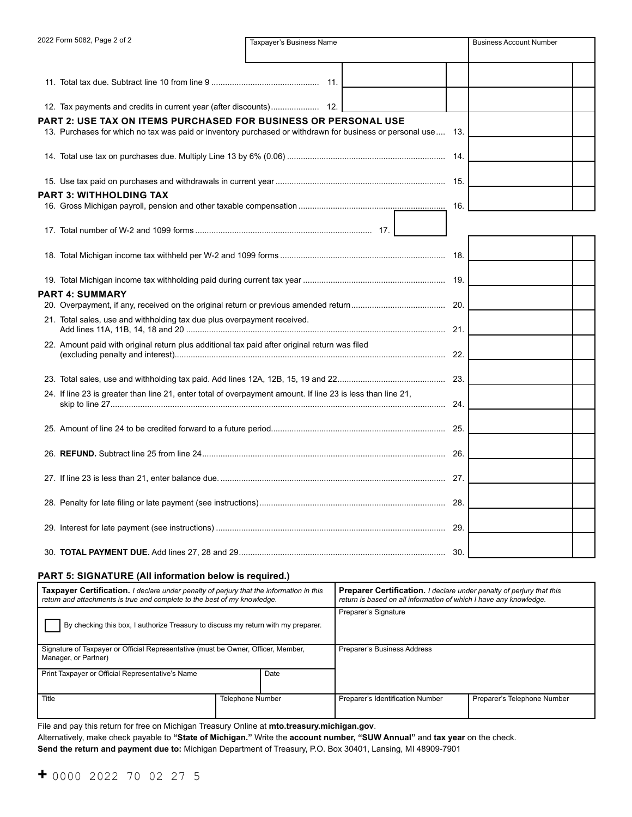| 2022 Form 5082, Page 2 of 2                                                                                 | Taxpayer's Business Name                                                                                     | <b>Business Account Number</b> |  |  |
|-------------------------------------------------------------------------------------------------------------|--------------------------------------------------------------------------------------------------------------|--------------------------------|--|--|
|                                                                                                             |                                                                                                              |                                |  |  |
|                                                                                                             |                                                                                                              |                                |  |  |
|                                                                                                             |                                                                                                              |                                |  |  |
|                                                                                                             | PART 2: USE TAX ON ITEMS PURCHASED FOR BUSINESS OR PERSONAL USE                                              |                                |  |  |
|                                                                                                             | 13. Purchases for which no tax was paid or inventory purchased or withdrawn for business or personal use 13. |                                |  |  |
|                                                                                                             |                                                                                                              |                                |  |  |
|                                                                                                             |                                                                                                              |                                |  |  |
| <b>PART 3: WITHHOLDING TAX</b>                                                                              |                                                                                                              |                                |  |  |
|                                                                                                             |                                                                                                              | 16.                            |  |  |
|                                                                                                             |                                                                                                              |                                |  |  |
|                                                                                                             |                                                                                                              |                                |  |  |
|                                                                                                             |                                                                                                              |                                |  |  |
| <b>PART 4: SUMMARY</b>                                                                                      |                                                                                                              |                                |  |  |
|                                                                                                             |                                                                                                              |                                |  |  |
|                                                                                                             | 21. Total sales, use and withholding tax due plus overpayment received.                                      |                                |  |  |
| 22. Amount paid with original return plus additional tax paid after original return was filed               |                                                                                                              |                                |  |  |
|                                                                                                             |                                                                                                              |                                |  |  |
| 24. If line 23 is greater than line 21, enter total of overpayment amount. If line 23 is less than line 21, |                                                                                                              |                                |  |  |
|                                                                                                             |                                                                                                              |                                |  |  |
|                                                                                                             |                                                                                                              |                                |  |  |
|                                                                                                             |                                                                                                              |                                |  |  |
|                                                                                                             |                                                                                                              |                                |  |  |
|                                                                                                             |                                                                                                              |                                |  |  |
|                                                                                                             |                                                                                                              |                                |  |  |

## **PART 5: SIGNATURE (All information below is required.)**

| <b>Taxpayer Certification.</b> I declare under penalty of perjury that the information in this<br>return and attachments is true and complete to the best of my knowledge. |                  | <b>Preparer Certification.</b> I declare under penalty of perjury that this<br>return is based on all information of which I have any knowledge. |                             |
|----------------------------------------------------------------------------------------------------------------------------------------------------------------------------|------------------|--------------------------------------------------------------------------------------------------------------------------------------------------|-----------------------------|
| By checking this box, I authorize Treasury to discuss my return with my preparer.                                                                                          |                  | Preparer's Signature                                                                                                                             |                             |
| Signature of Taxpayer or Official Representative (must be Owner, Officer, Member,<br>Manager, or Partner)                                                                  |                  | Preparer's Business Address                                                                                                                      |                             |
| Print Taxpayer or Official Representative's Name<br>Date                                                                                                                   |                  |                                                                                                                                                  |                             |
| Title                                                                                                                                                                      | Telephone Number | Preparer's Identification Number                                                                                                                 | Preparer's Telephone Number |

File and pay this return for free on Michigan Treasury Online at **[mto.treasury.michigan.gov](https://mto.treasury.michigan.gov)**.

Alternatively, make check payable to **"State of Michigan."** Write the **account number, "SUW Annual"** and **tax year** on the check.

**Send the return and payment due to:** Michigan Department of Treasury, P.O. Box 30401, Lansing, MI 48909-7901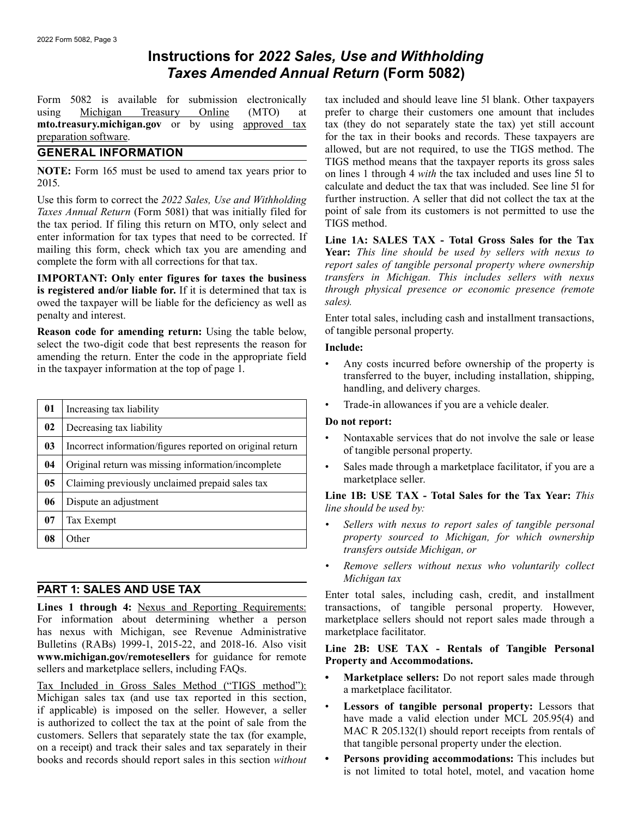# **Instructions for** *2022 Sales, Use and Withholding Taxes Amended Annual Return* **(Form 5082)**

Form 5082 is available for submission electronically using Michigan Treasury Online (MTO) at **mto.treasury.michigan.gov** or by using approved tax preparation software.

# **GENERAL INFORMATION**

**NOTE:** Form 165 must be used to amend tax years prior to 2015.

Use this form to correct the *2022 Sales, Use and Withholding Taxes Annual Return* (Form 5081) that was initially filed for the tax period. If filing this return on MTO, only select and enter information for tax types that need to be corrected. If mailing this form, check which tax you are amending and complete the form with all corrections for that tax.

**IMPORTANT: Only enter figures for taxes the business is registered and/or liable for.** If it is determined that tax is owed the taxpayer will be liable for the deficiency as well as penalty and interest.

**Reason code for amending return:** Using the table below, select the two-digit code that best represents the reason for amending the return. Enter the code in the appropriate field in the taxpayer information at the top of page 1.

| 01             | Increasing tax liability                                  |
|----------------|-----------------------------------------------------------|
| 02             | Decreasing tax liability                                  |
| 0 <sub>3</sub> | Incorrect information/figures reported on original return |
| 04             | Original return was missing information/incomplete        |
| 05             | Claiming previously unclaimed prepaid sales tax           |
| 06             | Dispute an adjustment                                     |
| 07             | Tax Exempt                                                |
| 08             | Other                                                     |

# **PART 1: SALES AND USE TAX**

Lines 1 through 4: Nexus and Reporting Requirements: For information about determining whether a person has nexus with Michigan, see Revenue Administrative Bulletins (RABs) 19[99-1, 2015-22, and 2018-16. Also v](www.michigan.gov/remotesellers)isit **<www.michigan.gov/remotesellers>** for guidance for remote sellers and marketplace sellers, including FAQs.

Tax Included in Gross Sales Method ("TIGS method"): Michigan sales tax (and use tax reported in this section, if applicable) is imposed on the seller. However, a seller is authorized to collect the tax at the point of sale from the customers. Sellers that separately state the tax (for example, on a receipt) and track their sales and tax separately in their books and records should report sales in this section *without* 

tax included and should leave line 5l blank. Other taxpayers prefer to charge their customers one amount that includes tax (they do not separately state the tax) yet still account for the tax in their books and records. These taxpayers are allowed, but are not required, to use the TIGS method. The TIGS method means that the taxpayer reports its gross sales on lines 1 through 4 *with* the tax included and uses line 5l to calculate and deduct the tax that was included. See line 5l for further instruction. A seller that did not collect the tax at the point of sale from its customers is not permitted to use the TIGS method.

**Line 1A: SALES TAX - Total Gross Sales for the Tax Year:** *This line should be used by sellers with nexus to report sales of tangible personal property where ownership transfers in Michigan. This includes sellers with nexus through physical presence or economic presence (remote sales).* 

Enter total sales, including cash and installment transactions, of tangible personal property.

# **Include:**

- Any costs incurred before ownership of the property is transferred to the buyer, including installation, shipping, handling, and delivery charges.
- Trade-in allowances if you are a vehicle dealer.

# **Do not report:**

- Nontaxable services that do not involve the sale or lease of tangible personal property.
- Sales made through a marketplace facilitator, if you are a marketplace seller.

# **Line 1B: USE TAX - Total Sales for the Tax Year:** *This line should be used by:*

- *Sellers with nexus to report sales of tangible personal property sourced to Michigan, for which ownership transfers outside Michigan, or*
- *Remove sellers without nexus who voluntarily collect Michigan tax*

Enter total sales, including cash, credit, and installment transactions, of tangible personal property. However, marketplace sellers should not report sales made through a marketplace facilitator.

## **Line 2B: USE TAX - Rentals of Tangible Personal Property and Accommodations.**

- **Marketplace sellers:** Do not report sales made through a marketplace facilitator.
- **Lessors of tangible personal property:** Lessors that have made a valid election under MCL 205.95(4) and MAC R 205.132(1) should report receipts from rentals of that tangible personal property under the election.
- **Persons providing accommodations:** This includes but is not limited to total hotel, motel, and vacation home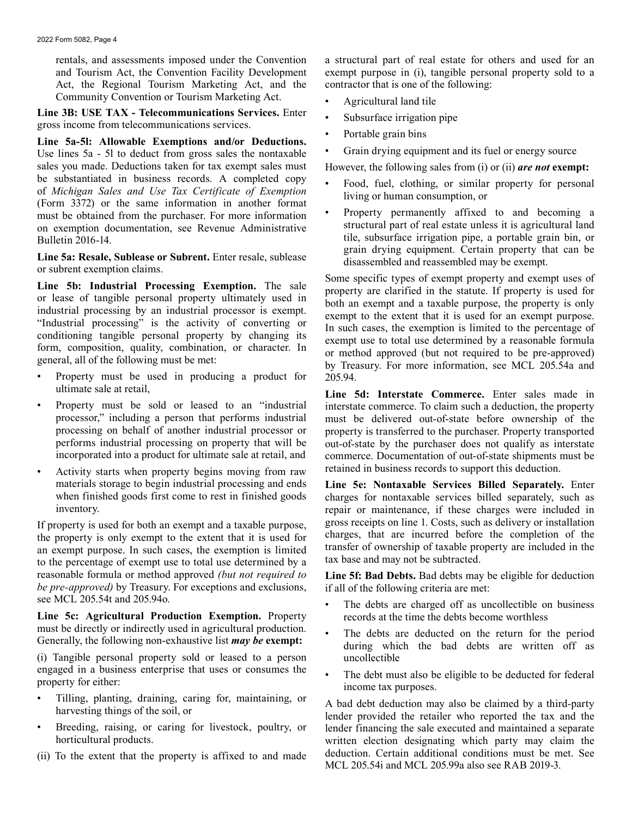rentals, and assessments imposed under the Convention and Tourism Act, the Convention Facility Development Act, the Regional Tourism Marketing Act, and the Community Convention or Tourism Marketing Act.

**Line 3B: USE TAX - Telecommunications Services.** Enter gross income from telecommunications services.

**Line 5a-5l: Allowable Exemptions and/or Deductions.**  Use lines 5a - 5l to deduct from gross sales the nontaxable sales you made. Deductions taken for tax exempt sales must be substantiated in business records. A completed copy of *Michigan Sales and Use Tax Certificate of Exemption*  (Form 3372) or the same information in another format must be obtained from the purchaser. For more information on exemption documentation, see Revenue Administrative Bulletin 2016-14.

Line 5a: Resale, Sublease or Subrent. Enter resale, sublease or subrent exemption claims.

**Line 5b: Industrial Processing Exemption.** The sale or lease of tangible personal property ultimately used in industrial processing by an industrial processor is exempt. "Industrial processing" is the activity of converting or conditioning tangible personal property by changing its form, composition, quality, combination, or character. In general, all of the following must be met:

- Property must be used in producing a product for ultimate sale at retail,
- Property must be sold or leased to an "industrial processor," including a person that performs industrial processing on behalf of another industrial processor or performs industrial processing on property that will be incorporated into a product for ultimate sale at retail, and
- Activity starts when property begins moving from raw materials storage to begin industrial processing and ends when finished goods first come to rest in finished goods inventory.

If property is used for both an exempt and a taxable purpose, the property is only exempt to the extent that it is used for an exempt purpose. In such cases, the exemption is limited to the percentage of exempt use to total use determined by a reasonable formula or method approved *(but not required to be pre-approved)* by Treasury. For exceptions and exclusions, see MCL 205.54t and 205.94o.

**Line 5c: Agricultural Production Exemption.** Property must be directly or indirectly used in agricultural production. Generally, the following non-exhaustive list *may be* **exempt:** 

(i) Tangible personal property sold or leased to a person engaged in a business enterprise that uses or consumes the property for either:

- Tilling, planting, draining, caring for, maintaining, or harvesting things of the soil, or
- Breeding, raising, or caring for livestock, poultry, or horticultural products.
- (ii) To the extent that the property is affixed to and made

a structural part of real estate for others and used for an exempt purpose in (i), tangible personal property sold to a contractor that is one of the following:

- Agricultural land tile
- Subsurface irrigation pipe
- Portable grain bins
- Grain drying equipment and its fuel or energy source

However, the following sales from (i) or (ii) *are not* **exempt:** 

- Food, fuel, clothing, or similar property for personal living or human consumption, or
- Property permanently affixed to and becoming a structural part of real estate unless it is agricultural land tile, subsurface irrigation pipe, a portable grain bin, or grain drying equipment. Certain property that can be disassembled and reassembled may be exempt.

Some specific types of exempt property and exempt uses of property are clarified in the statute. If property is used for both an exempt and a taxable purpose, the property is only exempt to the extent that it is used for an exempt purpose. In such cases, the exemption is limited to the percentage of exempt use to total use determined by a reasonable formula or method approved (but not required to be pre-approved) by Treasury. For more information, see MCL 205.54a and 205.94.

**Line 5d: Interstate Commerce.** Enter sales made in interstate commerce. To claim such a deduction, the property must be delivered out-of-state before ownership of the property is transferred to the purchaser. Property transported out-of-state by the purchaser does not qualify as interstate commerce. Documentation of out-of-state shipments must be retained in business records to support this deduction.

**Line 5e: Nontaxable Services Billed Separately.** Enter charges for nontaxable services billed separately, such as repair or maintenance, if these charges were included in gross receipts on line 1. Costs, such as delivery or installation charges, that are incurred before the completion of the transfer of ownership of taxable property are included in the tax base and may not be subtracted.

**Line 5f: Bad Debts.** Bad debts may be eligible for deduction if all of the following criteria are met:

- The debts are charged off as uncollectible on business records at the time the debts become worthless
- The debts are deducted on the return for the period during which the bad debts are written off as uncollectible
- The debt must also be eligible to be deducted for federal income tax purposes.

A bad debt deduction may also be claimed by a third-party lender provided the retailer who reported the tax and the lender financing the sale executed and maintained a separate written election designating which party may claim the deduction. Certain additional conditions must be met. See MCL 205.54i and MCL 205.99a also see RAB 2019-3.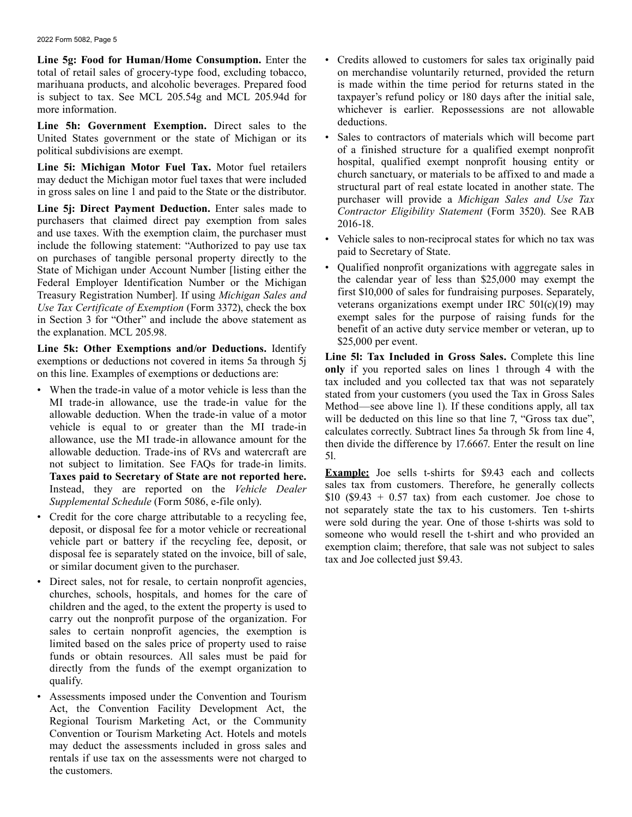**Line 5g: Food for Human/Home Consumption.** Enter the total of retail sales of grocery-type food, excluding tobacco, marihuana products, and alcoholic beverages. Prepared food is subject to tax. See MCL 205.54g and MCL 205.94d for more information.

**Line 5h: Government Exemption.** Direct sales to the United States government or the state of Michigan or its political subdivisions are exempt.

**Line 5i: Michigan Motor Fuel Tax.** Motor fuel retailers may deduct the Michigan motor fuel taxes that were included in gross sales on line 1 and paid to the State or the distributor.

Line 5j: Direct Payment Deduction. Enter sales made to purchasers that claimed direct pay exemption from sales and use taxes. With the exemption claim, the purchaser must include the following statement: "Authorized to pay use tax on purchases of tangible personal property directly to the State of Michigan under Account Number [listing either the Federal Employer Identification Number or the Michigan Treasury Registration Number]. If using *Michigan Sales and Use Tax Certificate of Exemption* (Form 3372), check the box in Section 3 for "Other" and include the above statement as the explanation. MCL 205.98.

**Line 5k: Other Exemptions and/or Deductions.** Identify exemptions or deductions not covered in items 5a through 5j on this line. Examples of exemptions or deductions are:

- When the trade-in value of a motor vehicle is less than the MI trade-in allowance, use the trade-in value for the allowable deduction. When the trade-in value of a motor vehicle is equal to or greater than the MI trade-in allowance, use the MI trade-in allowance amount for the allowable deduction. Trade-ins of RVs and watercraft are not subject to limitation. See FAQs for trade-in limits. **Taxes paid to Secretary of State are not reported here.**  Instead, they are reported on the *Vehicle Dealer Supplemental Schedule* (Form 5086, e-file only).
- Credit for the core charge attributable to a recycling fee, deposit, or disposal fee for a motor vehicle or recreational vehicle part or battery if the recycling fee, deposit, or disposal fee is separately stated on the invoice, bill of sale, or similar document given to the purchaser.
- Direct sales, not for resale, to certain nonprofit agencies, churches, schools, hospitals, and homes for the care of children and the aged, to the extent the property is used to carry out the nonprofit purpose of the organization. For sales to certain nonprofit agencies, the exemption is limited based on the sales price of property used to raise funds or obtain resources. All sales must be paid for directly from the funds of the exempt organization to qualify.
	- Assessments imposed under the Convention and Tourism Act, the Convention Facility Development Act, the Regional Tourism Marketing Act, or the Community Convention or Tourism Marketing Act. Hotels and motels may deduct the assessments included in gross sales and rentals if use tax on the assessments were not charged to the customers.
- Credits allowed to customers for sales tax originally paid on merchandise voluntarily returned, provided the return is made within the time period for returns stated in the taxpayer's refund policy or 180 days after the initial sale, whichever is earlier. Repossessions are not allowable deductions.
- Sales to contractors of materials which will become part of a finished structure for a qualified exempt nonprofit hospital, qualified exempt nonprofit housing entity or church sanctuary, or materials to be affixed to and made a structural part of real estate located in another state. The purchaser will provide a *Michigan Sales and Use Tax Contractor Eligibility Statement* (Form 3520). See RAB 2016-18.
- Vehicle sales to non-reciprocal states for which no tax was paid to Secretary of State.
- Qualified nonprofit organizations with aggregate sales in the calendar year of less than \$25,000 may exempt the first \$10,000 of sales for fundraising purposes. Separately, veterans organizations exempt under IRC 501(c)(19) may exempt sales for the purpose of raising funds for the benefit of an active duty service member or veteran, up to \$25,000 per event.

**Line 5l: Tax Included in Gross Sales.** Complete this line **only** if you reported sales on lines 1 through 4 with the tax included and you collected tax that was not separately stated from your customers (you used the Tax in Gross Sales Method—see above line 1). If these conditions apply, all tax will be deducted on this line so that line 7, "Gross tax due", calculates correctly. Subtract lines 5a through 5k from line 4, then divide the difference by 17.6667. Enter the result on line 5l.

**Example:** Joe sells t-shirts for \$9.43 each and collects sales tax from customers. Therefore, he generally collects \$10 (\$9.43 + 0.57 tax) from each customer. Joe chose to not separately state the tax to his customers. Ten t-shirts were sold during the year. One of those t-shirts was sold to someone who would resell the t-shirt and who provided an exemption claim; therefore, that sale was not subject to sales tax and Joe collected just \$9.43.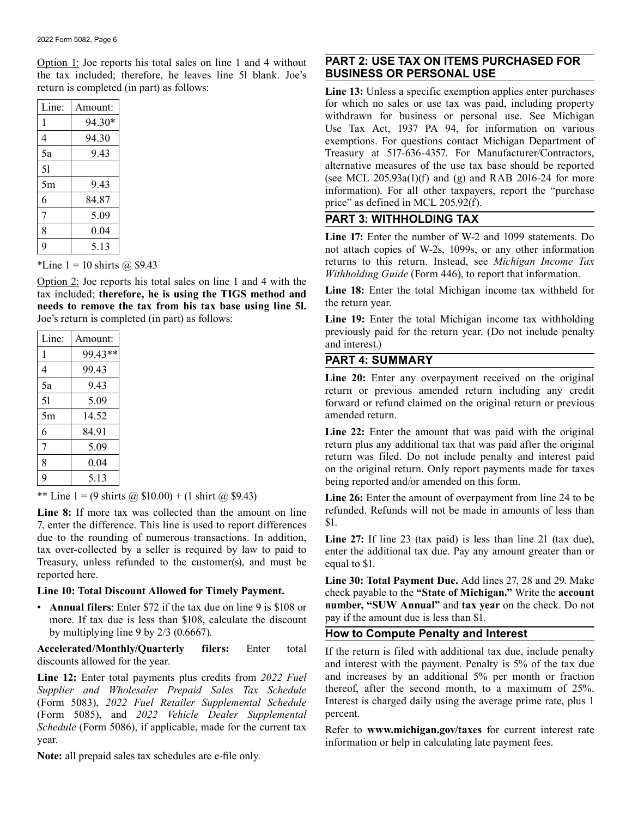Option 1: Joe reports his total sales on line 1 and 4 without the tax included; therefore, he leaves line 5l blank. Joe's return is completed (in part) as follows:

| Line: | Amount: |
|-------|---------|
| 1     | 94.30*  |
| 4     | 94.30   |
| 5a    | 9.43    |
| 51    |         |
| 5m    | 943     |
| 6     | 84.87   |
| 7     | 5.09    |
| 8     | 0.04    |
| 9     | 5.13    |

\*Line  $1 = 10$  shirts  $\omega$  \$9.43

Option 2: Joe reports his total sales on line 1 and 4 with the tax included; **therefore, he is using the TIGS method and needs to remove the tax from his tax base using line 5l.**  Joe's return is completed (in part) as follows:

| Line: | Amount: |
|-------|---------|
| 1     | 99.43** |
| 4     | 99.43   |
| 5a    | 9.43    |
| 51    | 5.09    |
| 5m    | 14.52   |
| 6     | 84.91   |
| 7     | 5.09    |
| 8     | 0.04    |
| 9     | 5.13    |

\*\* Line 1 = (9 shirts  $\hat{\omega}$  \$10.00) + (1 shirt  $\hat{\omega}$  \$9.43)

**Line 8:** If more tax was collected than the amount on line 7, enter the difference. This line is used to report differences due to the rounding of numerous transactions. In addition, tax over-collected by a seller is required by law to paid to Treasury, unless refunded to the customer(s), and must be reported here.

### **Line 10: Total Discount Allowed for Timely Payment.**

 • **Annual filers**: Enter \$72 if the tax due on line 9 is \$108 or more. If tax due is less than \$108, calculate the discount by multiplying line 9 by 2/3 (0.6667).

**Accelerated/Monthly/Quarterly filers:** Enter total discounts allowed for the year.

**Line 12:** Enter total payments plus credits from *2022 Fuel Supplier and Wholesaler Prepaid Sales Tax Schedule*  (Form 5083), *2022 Fuel Retailer Supplemental Schedule*  (Form 5085), and *2022 Vehicle Dealer Supplemental Schedule* (Form 5086), if applicable, made for the current tax year.

**Note:** all prepaid sales tax schedules are e-file only.

# **PART 2: USE TAX ON ITEMS PURCHASED FOR BUSINESS OR PERSONAL USE**

**Line 13:** Unless a specific exemption applies enter purchases for which no sales or use tax was paid, including property withdrawn for business or personal use. See Michigan Use Tax Act, 1937 PA 94, for information on various exemptions. For questions contact Michigan Department of Treasury at 517-636-4357. For Manufacturer/Contractors, alternative measures of the use tax base should be reported (see MCL  $205.93a(1)$ (f) and (g) and RAB 2016-24 for more information). For all other taxpayers, report the "purchase price" as defined in MCL 205.92(f).

# **PART 3: WITHHOLDING TAX**

**Line 17:** Enter the number of W-2 and 1099 statements. Do not attach copies of W-2s, 1099s, or any other information returns to this return. Instead, see *Michigan Income Tax Withholding Guide* (Form 446), to report that information.

Line 18: Enter the total Michigan income tax withheld for the return year.

**Line 19:** Enter the total Michigan income tax withholding previously paid for the return year. (Do not include penalty and interest.)

# **PART 4: SUMMARY**

**Line 20:** Enter any overpayment received on the original return or previous amended return including any credit forward or refund claimed on the original return or previous amended return.

**Line 22:** Enter the amount that was paid with the original return plus any additional tax that was paid after the original return was filed. Do not include penalty and interest paid on the original return. Only report payments made for taxes being reported and/or amended on this form.

**Line 26:** Enter the amount of overpayment from line 24 to be refunded. Refunds will not be made in amounts of less than \$1.

Line 27: If line 23 (tax paid) is less than line 21 (tax due), enter the additional tax due. Pay any amount greater than or equal to \$1.

**Line 30: Total Payment Due.** Add lines 27, 28 and 29. Make check payable to the **"State of Michigan."** Write the **account number, "SUW Annual"** and **tax year** on the check. Do not pay if the amount due is less than \$1.

# **How to Compute Penalty and Interest**

If the return is filed with additional tax due, include penalty and interest with the payment. Penalty is 5% of the tax due and increases by an additional 5% per month or fraction thereof, after the second month, to a maximum of 25%. Interest is charged daily using the average prime rate, plus 1 percent.

Refer to **<www.michigan.gov/taxes>** for current interest rate information or help in calculating late payment fees.